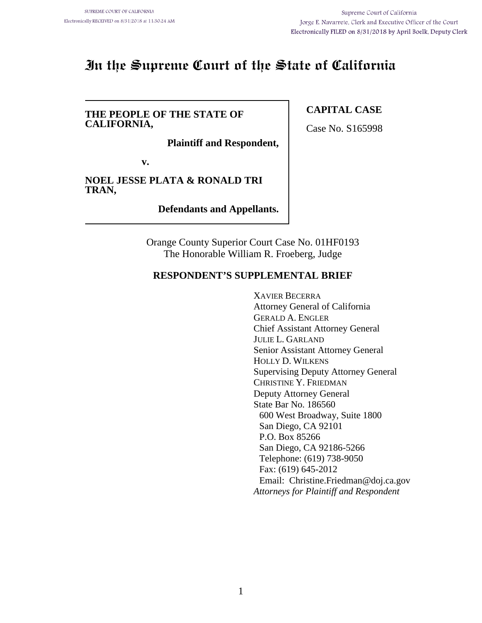# **In the Supreme Court of the State of California**

#### **THE PEOPLE OF THE STATE OF CALIFORNIA,**

**Plaintiff and Respondent,**

**v.**

**NOEL JESSE PLATA & RONALD TRI TRAN,**

**Defendants and Appellants.**

Orange County Superior Court Case No. 01HF0193 The Honorable William R. Froeberg, Judge

## **RESPONDENT'S SUPPLEMENTAL BRIEF**

XAVIER BECERRA Attorney General of California GERALD A. ENGLER Chief Assistant Attorney General JULIE L. GARLAND Senior Assistant Attorney General HOLLY D. WILKENS Supervising Deputy Attorney General CHRISTINE Y. FRIEDMAN Deputy Attorney General State Bar No. 186560 600 West Broadway, Suite 1800 San Diego, CA 92101 P.O. Box 85266 San Diego, CA 92186-5266 Telephone: (619) 738-9050 Fax: (619) 645-2012 Email: Christine.Friedman@doj.ca.gov *Attorneys for Plaintiff and Respondent*

## **CAPITAL CASE**

Case No. S165998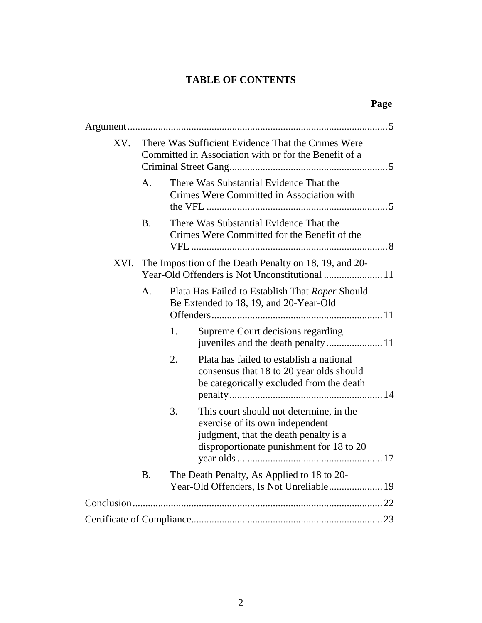# **TABLE OF CONTENTS**

| т<br>c |
|--------|
|--------|

| XV. | There Was Sufficient Evidence That the Crimes Were<br>Committed in Association with or for the Benefit of a |                                                                                                                                                                       |  |
|-----|-------------------------------------------------------------------------------------------------------------|-----------------------------------------------------------------------------------------------------------------------------------------------------------------------|--|
|     | A.                                                                                                          | There Was Substantial Evidence That the<br>Crimes Were Committed in Association with                                                                                  |  |
|     | <b>B.</b>                                                                                                   | There Was Substantial Evidence That the<br>Crimes Were Committed for the Benefit of the                                                                               |  |
|     |                                                                                                             | XVI. The Imposition of the Death Penalty on 18, 19, and 20-                                                                                                           |  |
|     | A.                                                                                                          | Plata Has Failed to Establish That Roper Should<br>Be Extended to 18, 19, and 20-Year-Old                                                                             |  |
|     |                                                                                                             | 1.<br>Supreme Court decisions regarding                                                                                                                               |  |
|     |                                                                                                             | 2.<br>Plata has failed to establish a national<br>consensus that 18 to 20 year olds should<br>be categorically excluded from the death                                |  |
|     |                                                                                                             | 3.<br>This court should not determine, in the<br>exercise of its own independent<br>judgment, that the death penalty is a<br>disproportionate punishment for 18 to 20 |  |
|     | <b>B.</b>                                                                                                   | The Death Penalty, As Applied to 18 to 20-<br>Year-Old Offenders, Is Not Unreliable 19                                                                                |  |
|     |                                                                                                             |                                                                                                                                                                       |  |
|     |                                                                                                             |                                                                                                                                                                       |  |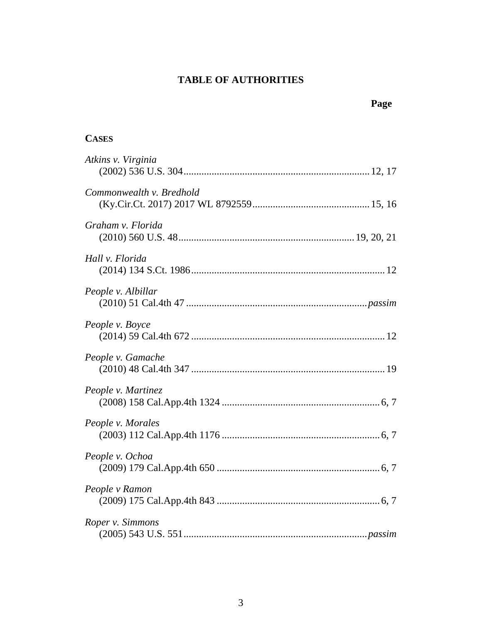# **TABLE OF AUTHORITIES**

## **CASES**

| Atkins v. Virginia       |
|--------------------------|
| Commonwealth v. Bredhold |
| Graham v. Florida        |
| Hall v. Florida          |
| People v. Albillar       |
| People v. Boyce          |
| People v. Gamache        |
| People v. Martinez       |
| People v. Morales        |
| People v. Ochoa          |
| People v Ramon           |
| Roper v. Simmons         |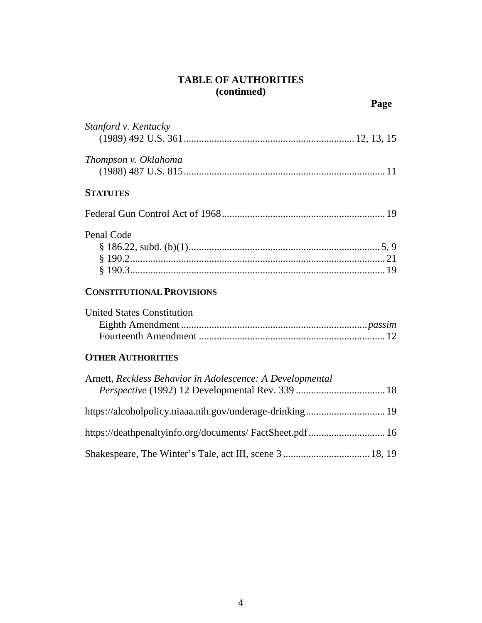# **TABLE OF AUTHORITIES (continued)**

| Stanford v. Kentucky                                      |
|-----------------------------------------------------------|
| Thompson v. Oklahoma                                      |
| <b>STATUTES</b>                                           |
|                                                           |
| Penal Code                                                |
| <b>CONSTITUTIONAL PROVISIONS</b>                          |
| <b>United States Constitution</b>                         |
| <b>OTHER AUTHORITIES</b>                                  |
| Arnett, Reckless Behavior in Adolescence: A Developmental |
| https://alcoholpolicy.niaaa.nih.gov/underage-drinking 19  |
|                                                           |
|                                                           |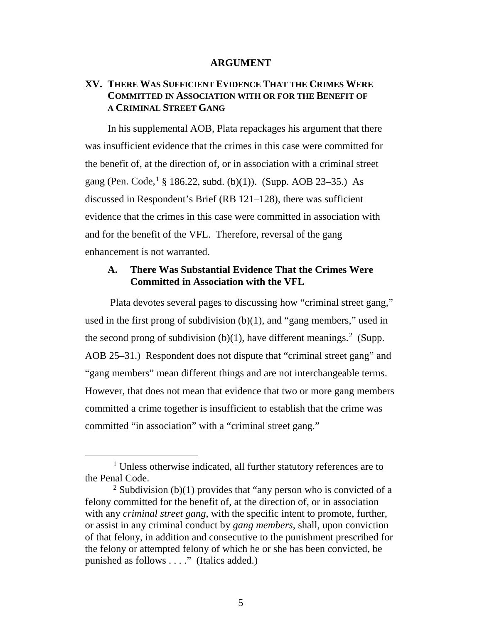#### **ARGUMENT**

## **XV. THERE WAS SUFFICIENT EVIDENCE THAT THE CRIMES WERE COMMITTED IN ASSOCIATION WITH OR FOR THE BENEFIT OF A CRIMINAL STREET GANG**

In his supplemental AOB, Plata repackages his argument that there was insufficient evidence that the crimes in this case were committed for the benefit of, at the direction of, or in association with a criminal street gang (Pen. Code,<sup>[1](#page-4-0)</sup> § 186.22, subd. (b)(1)). (Supp. AOB 23–35.) As discussed in Respondent's Brief (RB 121–128), there was sufficient evidence that the crimes in this case were committed in association with and for the benefit of the VFL. Therefore, reversal of the gang enhancement is not warranted.

## **A. There Was Substantial Evidence That the Crimes Were Committed in Association with the VFL**

Plata devotes several pages to discussing how "criminal street gang," used in the first prong of subdivision (b)(1), and "gang members," used in the second prong of subdivision  $(b)(1)$ , have different meanings.<sup>[2](#page-4-1)</sup> (Supp. AOB 25–31.) Respondent does not dispute that "criminal street gang" and "gang members" mean different things and are not interchangeable terms. However, that does not mean that evidence that two or more gang members committed a crime together is insufficient to establish that the crime was committed "in association" with a "criminal street gang."

<span id="page-4-0"></span><sup>&</sup>lt;sup>1</sup> Unless otherwise indicated, all further statutory references are to the Penal Code.

<span id="page-4-1"></span><sup>&</sup>lt;sup>2</sup> Subdivision (b)(1) provides that "any person who is convicted of a felony committed for the benefit of, at the direction of, or in association with any *criminal street gang*, with the specific intent to promote, further, or assist in any criminal conduct by *gang members*, shall, upon conviction of that felony, in addition and consecutive to the punishment prescribed for the felony or attempted felony of which he or she has been convicted, be punished as follows . . . ." (Italics added.)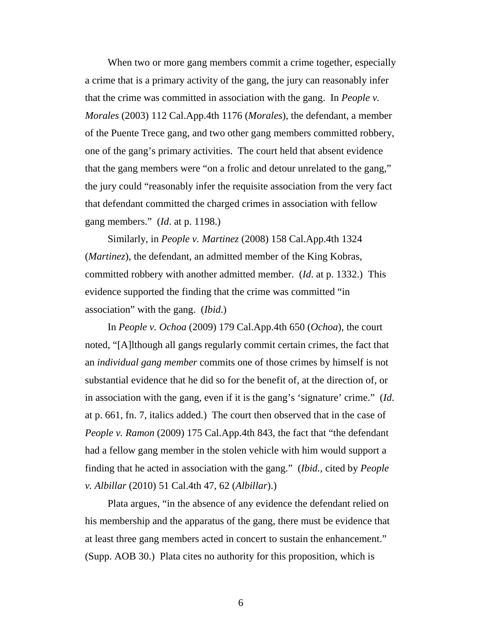When two or more gang members commit a crime together, especially a crime that is a primary activity of the gang, the jury can reasonably infer that the crime was committed in association with the gang. In *People v. Morales* (2003) 112 Cal.App.4th 1176 (*Morales*), the defendant, a member of the Puente Trece gang, and two other gang members committed robbery, one of the gang's primary activities. The court held that absent evidence that the gang members were "on a frolic and detour unrelated to the gang," the jury could "reasonably infer the requisite association from the very fact that defendant committed the charged crimes in association with fellow gang members." (*Id*. at p. 1198.)

Similarly, in *People v. Martinez* (2008) 158 Cal.App.4th 1324 (*Martinez*), the defendant, an admitted member of the King Kobras, committed robbery with another admitted member. (*Id*. at p. 1332.) This evidence supported the finding that the crime was committed "in association" with the gang. (*Ibid*.)

In *People v. Ochoa* (2009) 179 Cal.App.4th 650 (*Ochoa*), the court noted, "[A]lthough all gangs regularly commit certain crimes, the fact that an *individual gang member* commits one of those crimes by himself is not substantial evidence that he did so for the benefit of, at the direction of, or in association with the gang, even if it is the gang's 'signature' crime." (*Id*. at p. 661, fn. 7, italics added.) The court then observed that in the case of *People v. Ramon* (2009) 175 Cal.App.4th 843, the fact that "the defendant had a fellow gang member in the stolen vehicle with him would support a finding that he acted in association with the gang." (*Ibid.*, cited by *People v. Albillar* (2010) 51 Cal.4th 47, 62 (*Albillar*).)

Plata argues, "in the absence of any evidence the defendant relied on his membership and the apparatus of the gang, there must be evidence that at least three gang members acted in concert to sustain the enhancement." (Supp. AOB 30.) Plata cites no authority for this proposition, which is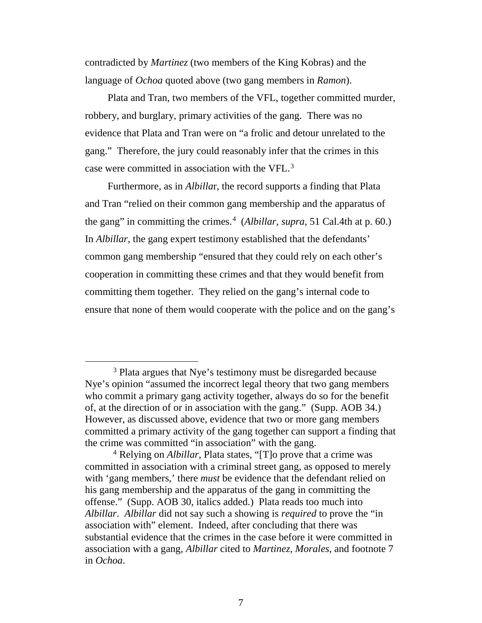contradicted by *Martinez* (two members of the King Kobras) and the language of *Ochoa* quoted above (two gang members in *Ramon*).

Plata and Tran, two members of the VFL, together committed murder, robbery, and burglary, primary activities of the gang. There was no evidence that Plata and Tran were on "a frolic and detour unrelated to the gang." Therefore, the jury could reasonably infer that the crimes in this case were committed in association with the VFL.<sup>[3](#page-6-0)</sup>

Furthermore, as in *Albilla*r, the record supports a finding that Plata and Tran "relied on their common gang membership and the apparatus of the gang" in committing the crimes.<sup>[4](#page-6-1)</sup> (*Albillar*, *supra*, 51 Cal.4th at p. 60.) In *Albillar*, the gang expert testimony established that the defendants' common gang membership "ensured that they could rely on each other's cooperation in committing these crimes and that they would benefit from committing them together. They relied on the gang's internal code to ensure that none of them would cooperate with the police and on the gang's

<span id="page-6-0"></span><sup>&</sup>lt;sup>3</sup> Plata argues that Nye's testimony must be disregarded because Nye's opinion "assumed the incorrect legal theory that two gang members who commit a primary gang activity together, always do so for the benefit of, at the direction of or in association with the gang." (Supp. AOB 34.) However, as discussed above, evidence that two or more gang members committed a primary activity of the gang together can support a finding that the crime was committed "in association" with the gang.

<span id="page-6-1"></span><sup>4</sup> Relying on *Albillar*, Plata states, "[T]o prove that a crime was committed in association with a criminal street gang, as opposed to merely with 'gang members,' there *must* be evidence that the defendant relied on his gang membership and the apparatus of the gang in committing the offense." (Supp. AOB 30, italics added.) Plata reads too much into *Albillar*. *Albillar* did not say such a showing is *required* to prove the "in association with" element. Indeed, after concluding that there was substantial evidence that the crimes in the case before it were committed in association with a gang, *Albillar* cited to *Martinez*, *Morales*, and footnote 7 in *Ochoa*.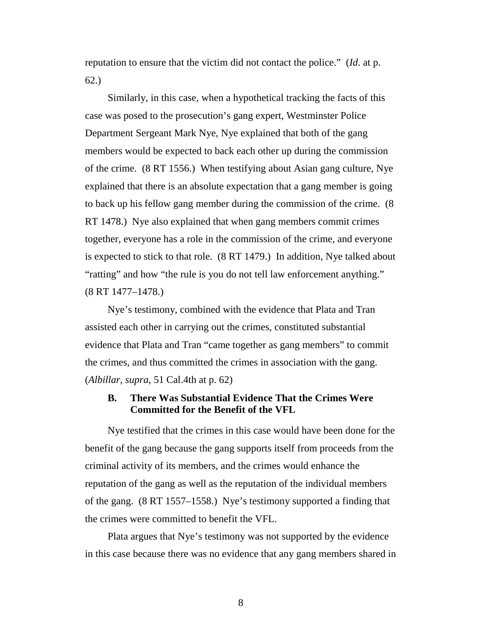reputation to ensure that the victim did not contact the police." (*Id*. at p. 62.)

Similarly, in this case, when a hypothetical tracking the facts of this case was posed to the prosecution's gang expert, Westminster Police Department Sergeant Mark Nye, Nye explained that both of the gang members would be expected to back each other up during the commission of the crime. (8 RT 1556.) When testifying about Asian gang culture, Nye explained that there is an absolute expectation that a gang member is going to back up his fellow gang member during the commission of the crime. (8 RT 1478.) Nye also explained that when gang members commit crimes together, everyone has a role in the commission of the crime, and everyone is expected to stick to that role. (8 RT 1479.) In addition, Nye talked about "ratting" and how "the rule is you do not tell law enforcement anything." (8 RT 1477–1478.)

Nye's testimony, combined with the evidence that Plata and Tran assisted each other in carrying out the crimes, constituted substantial evidence that Plata and Tran "came together as gang members" to commit the crimes, and thus committed the crimes in association with the gang. (*Albillar*, *supra*, 51 Cal.4th at p. 62)

## **B. There Was Substantial Evidence That the Crimes Were Committed for the Benefit of the VFL**

Nye testified that the crimes in this case would have been done for the benefit of the gang because the gang supports itself from proceeds from the criminal activity of its members, and the crimes would enhance the reputation of the gang as well as the reputation of the individual members of the gang. (8 RT 1557–1558.) Nye's testimony supported a finding that the crimes were committed to benefit the VFL.

Plata argues that Nye's testimony was not supported by the evidence in this case because there was no evidence that any gang members shared in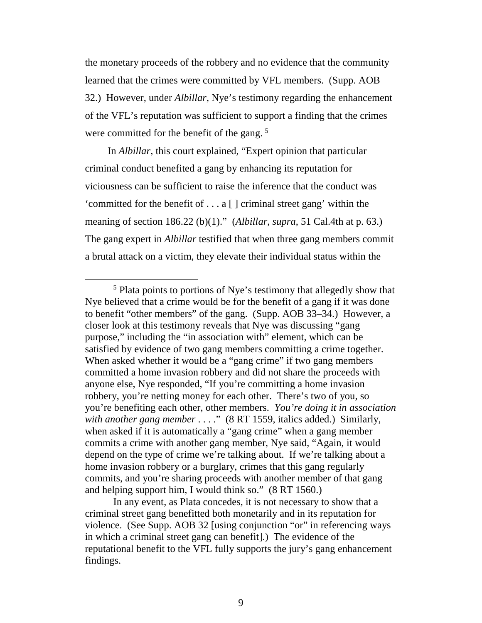the monetary proceeds of the robbery and no evidence that the community learned that the crimes were committed by VFL members. (Supp. AOB 32.) However, under *Albillar*, Nye's testimony regarding the enhancement of the VFL's reputation was sufficient to support a finding that the crimes were committed for the benefit of the gang.<sup>[5](#page-8-0)</sup>

In *Albillar*, this court explained, "Expert opinion that particular criminal conduct benefited a gang by enhancing its reputation for viciousness can be sufficient to raise the inference that the conduct was 'committed for the benefit of . . . a [ ] criminal street gang' within the meaning of section 186.22 (b)(1)." (*Albillar*, *supra*, 51 Cal.4th at p. 63.) The gang expert in *Albillar* testified that when three gang members commit a brutal attack on a victim, they elevate their individual status within the

<span id="page-8-0"></span> <sup>5</sup> Plata points to portions of Nye's testimony that allegedly show that Nye believed that a crime would be for the benefit of a gang if it was done to benefit "other members" of the gang. (Supp. AOB 33–34.) However, a closer look at this testimony reveals that Nye was discussing "gang purpose," including the "in association with" element, which can be satisfied by evidence of two gang members committing a crime together. When asked whether it would be a "gang crime" if two gang members committed a home invasion robbery and did not share the proceeds with anyone else, Nye responded, "If you're committing a home invasion robbery, you're netting money for each other. There's two of you, so you're benefiting each other, other members. *You're doing it in association with another gang member* . . . ." (8 RT 1559, italics added.) Similarly, when asked if it is automatically a "gang crime" when a gang member commits a crime with another gang member, Nye said, "Again, it would depend on the type of crime we're talking about. If we're talking about a home invasion robbery or a burglary, crimes that this gang regularly commits, and you're sharing proceeds with another member of that gang and helping support him, I would think so." (8 RT 1560.)

In any event, as Plata concedes, it is not necessary to show that a criminal street gang benefitted both monetarily and in its reputation for violence. (See Supp. AOB 32 [using conjunction "or" in referencing ways in which a criminal street gang can benefit].) The evidence of the reputational benefit to the VFL fully supports the jury's gang enhancement findings.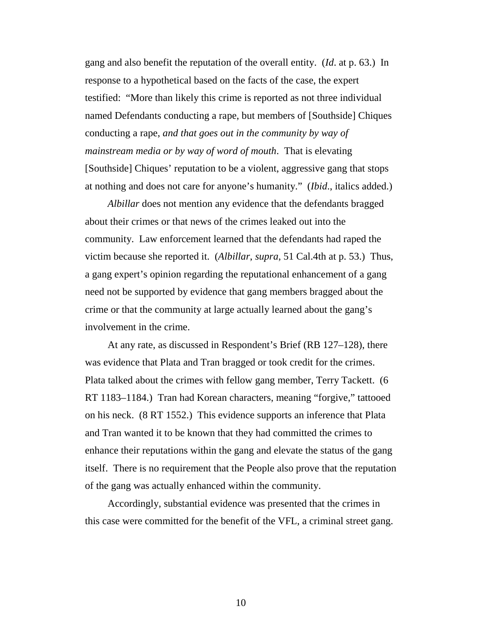gang and also benefit the reputation of the overall entity. (*Id*. at p. 63.) In response to a hypothetical based on the facts of the case, the expert testified: "More than likely this crime is reported as not three individual named Defendants conducting a rape, but members of [Southside] Chiques conducting a rape, *and that goes out in the community by way of mainstream media or by way of word of mouth*. That is elevating [Southside] Chiques' reputation to be a violent, aggressive gang that stops at nothing and does not care for anyone's humanity." (*Ibid*., italics added.)

*Albillar* does not mention any evidence that the defendants bragged about their crimes or that news of the crimes leaked out into the community. Law enforcement learned that the defendants had raped the victim because she reported it. (*Albillar*, *supra*, 51 Cal.4th at p. 53.) Thus, a gang expert's opinion regarding the reputational enhancement of a gang need not be supported by evidence that gang members bragged about the crime or that the community at large actually learned about the gang's involvement in the crime.

At any rate, as discussed in Respondent's Brief (RB 127–128), there was evidence that Plata and Tran bragged or took credit for the crimes. Plata talked about the crimes with fellow gang member, Terry Tackett. (6 RT 1183–1184.) Tran had Korean characters, meaning "forgive," tattooed on his neck. (8 RT 1552.) This evidence supports an inference that Plata and Tran wanted it to be known that they had committed the crimes to enhance their reputations within the gang and elevate the status of the gang itself. There is no requirement that the People also prove that the reputation of the gang was actually enhanced within the community.

Accordingly, substantial evidence was presented that the crimes in this case were committed for the benefit of the VFL, a criminal street gang.

10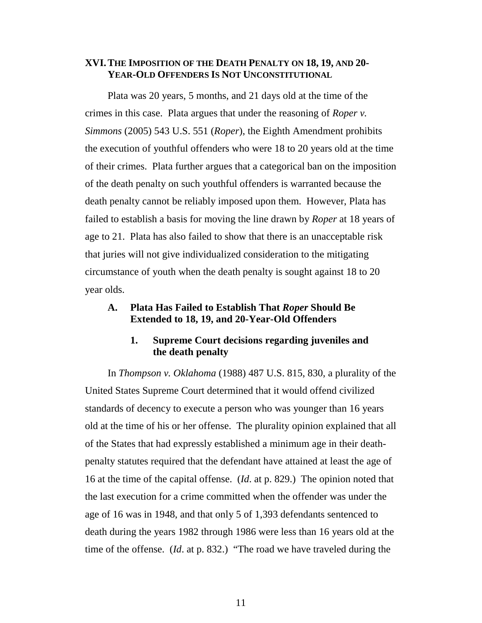## **XVI.THE IMPOSITION OF THE DEATH PENALTY ON 18, 19, AND 20- YEAR-OLD OFFENDERS IS NOT UNCONSTITUTIONAL**

Plata was 20 years, 5 months, and 21 days old at the time of the crimes in this case. Plata argues that under the reasoning of *Roper v. Simmons* (2005) 543 U.S. 551 (*Roper*), the Eighth Amendment prohibits the execution of youthful offenders who were 18 to 20 years old at the time of their crimes. Plata further argues that a categorical ban on the imposition of the death penalty on such youthful offenders is warranted because the death penalty cannot be reliably imposed upon them. However, Plata has failed to establish a basis for moving the line drawn by *Roper* at 18 years of age to 21. Plata has also failed to show that there is an unacceptable risk that juries will not give individualized consideration to the mitigating circumstance of youth when the death penalty is sought against 18 to 20 year olds.

## **A. Plata Has Failed to Establish That** *Roper* **Should Be Extended to 18, 19, and 20-Year-Old Offenders**

## **1. Supreme Court decisions regarding juveniles and the death penalty**

In *Thompson v. Oklahoma* (1988) 487 U.S. 815, 830, a plurality of the United States Supreme Court determined that it would offend civilized standards of decency to execute a person who was younger than 16 years old at the time of his or her offense. The plurality opinion explained that all of the States that had expressly established a minimum age in their deathpenalty statutes required that the defendant have attained at least the age of 16 at the time of the capital offense. (*Id*. at p. 829.) The opinion noted that the last execution for a crime committed when the offender was under the age of 16 was in 1948, and that only 5 of 1,393 defendants sentenced to death during the years 1982 through 1986 were less than 16 years old at the time of the offense. (*Id*. at p. 832.) "The road we have traveled during the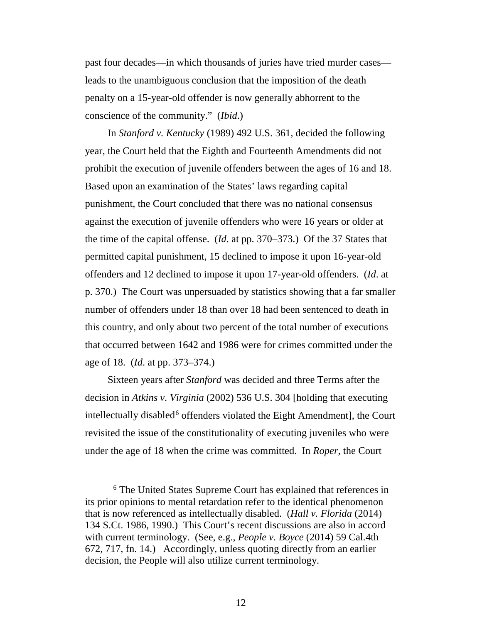past four decades—in which thousands of juries have tried murder cases leads to the unambiguous conclusion that the imposition of the death penalty on a 15-year-old offender is now generally abhorrent to the conscience of the community." (*Ibid*.)

In *Stanford v. Kentucky* (1989) 492 U.S. 361, decided the following year, the Court held that the Eighth and Fourteenth Amendments did not prohibit the execution of juvenile offenders between the ages of 16 and 18. Based upon an examination of the States' laws regarding capital punishment, the Court concluded that there was no national consensus against the execution of juvenile offenders who were 16 years or older at the time of the capital offense. (*Id*. at pp. 370–373.) Of the 37 States that permitted capital punishment, 15 declined to impose it upon 16-year-old offenders and 12 declined to impose it upon 17-year-old offenders. (*Id*. at p. 370.) The Court was unpersuaded by statistics showing that a far smaller number of offenders under 18 than over 18 had been sentenced to death in this country, and only about two percent of the total number of executions that occurred between 1642 and 1986 were for crimes committed under the age of 18. (*Id*. at pp. 373–374.)

Sixteen years after *Stanford* was decided and three Terms after the decision in *Atkins v. Virginia* (2002) 536 U.S. 304 [holding that executing intellectually disabled<sup>[6](#page-11-0)</sup> offenders violated the Eight Amendment], the Court revisited the issue of the constitutionality of executing juveniles who were under the age of 18 when the crime was committed. In *Roper*, the Court

<span id="page-11-0"></span> <sup>6</sup> The United States Supreme Court has explained that references in its prior opinions to mental retardation refer to the identical phenomenon that is now referenced as intellectually disabled. (*Hall v. Florida* (2014) 134 S.Ct. 1986, 1990.) This Court's recent discussions are also in accord with current terminology. (See, e.g., *People v. Boyce* (2014) 59 Cal.4th 672, 717, fn. 14.) Accordingly, unless quoting directly from an earlier decision, the People will also utilize current terminology.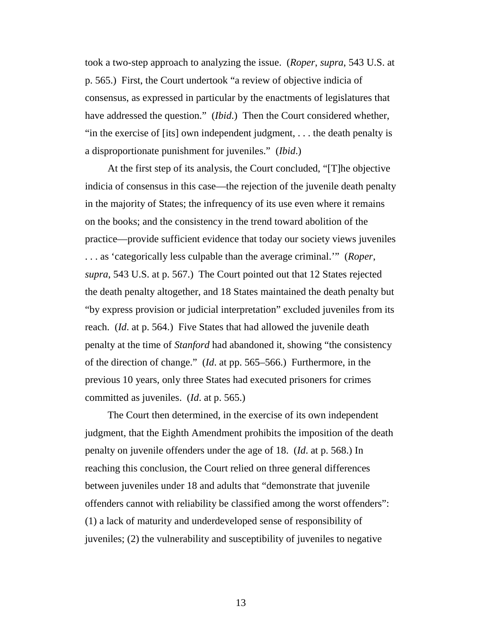took a two-step approach to analyzing the issue. (*Roper*, *supra*, 543 U.S. at p. 565.) First, the Court undertook "a review of objective indicia of consensus, as expressed in particular by the enactments of legislatures that have addressed the question." (*Ibid*.) Then the Court considered whether, "in the exercise of [its] own independent judgment, . . . the death penalty is a disproportionate punishment for juveniles." (*Ibid*.)

At the first step of its analysis, the Court concluded, "[T]he objective indicia of consensus in this case—the rejection of the juvenile death penalty in the majority of States; the infrequency of its use even where it remains on the books; and the consistency in the trend toward abolition of the practice—provide sufficient evidence that today our society views juveniles . . . as 'categorically less culpable than the average criminal.'" (*Roper*, *supra*, 543 U.S. at p. 567.) The Court pointed out that 12 States rejected the death penalty altogether, and 18 States maintained the death penalty but "by express provision or judicial interpretation" excluded juveniles from its reach. (*Id*. at p. 564.) Five States that had allowed the juvenile death penalty at the time of *Stanford* had abandoned it, showing "the consistency of the direction of change." (*Id*. at pp. 565–566.) Furthermore, in the previous 10 years, only three States had executed prisoners for crimes committed as juveniles. (*Id*. at p. 565.)

The Court then determined, in the exercise of its own independent judgment, that the Eighth Amendment prohibits the imposition of the death penalty on juvenile offenders under the age of 18. (*Id*. at p. 568.) In reaching this conclusion, the Court relied on three general differences between juveniles under 18 and adults that "demonstrate that juvenile offenders cannot with reliability be classified among the worst offenders": (1) a lack of maturity and underdeveloped sense of responsibility of juveniles; (2) the vulnerability and susceptibility of juveniles to negative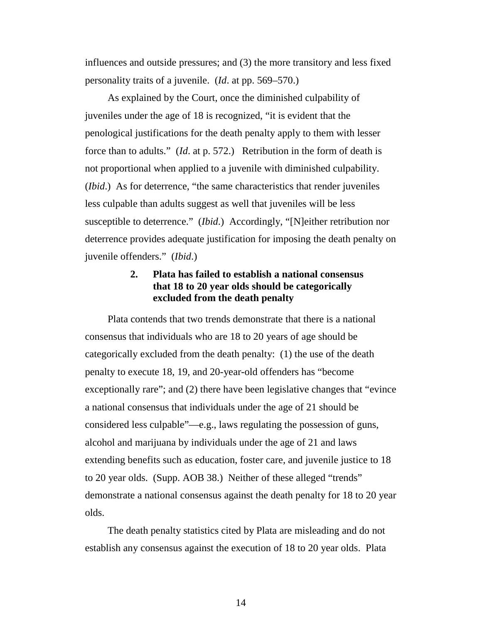influences and outside pressures; and (3) the more transitory and less fixed personality traits of a juvenile. (*Id*. at pp. 569–570.)

As explained by the Court, once the diminished culpability of juveniles under the age of 18 is recognized, "it is evident that the penological justifications for the death penalty apply to them with lesser force than to adults." (*Id*. at p. 572.) Retribution in the form of death is not proportional when applied to a juvenile with diminished culpability. (*Ibid*.) As for deterrence, "the same characteristics that render juveniles less culpable than adults suggest as well that juveniles will be less susceptible to deterrence." *(Ibid.)* Accordingly, "[N]either retribution nor deterrence provides adequate justification for imposing the death penalty on juvenile offenders." (*Ibid*.)

## **2. Plata has failed to establish a national consensus that 18 to 20 year olds should be categorically excluded from the death penalty**

Plata contends that two trends demonstrate that there is a national consensus that individuals who are 18 to 20 years of age should be categorically excluded from the death penalty: (1) the use of the death penalty to execute 18, 19, and 20-year-old offenders has "become exceptionally rare"; and (2) there have been legislative changes that "evince a national consensus that individuals under the age of 21 should be considered less culpable"—e.g., laws regulating the possession of guns, alcohol and marijuana by individuals under the age of 21 and laws extending benefits such as education, foster care, and juvenile justice to 18 to 20 year olds. (Supp. AOB 38.) Neither of these alleged "trends" demonstrate a national consensus against the death penalty for 18 to 20 year olds.

The death penalty statistics cited by Plata are misleading and do not establish any consensus against the execution of 18 to 20 year olds. Plata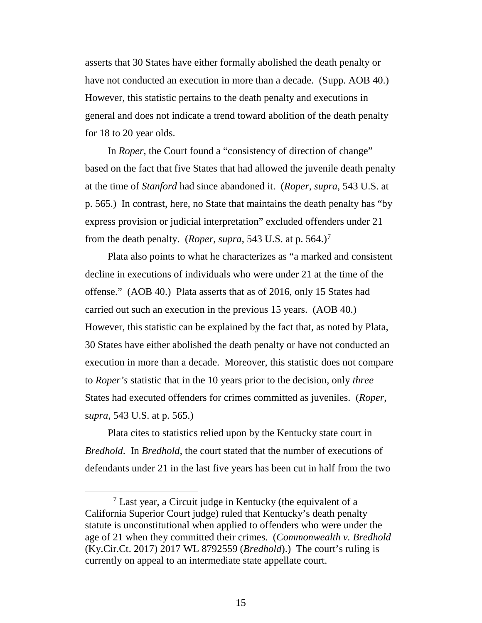asserts that 30 States have either formally abolished the death penalty or have not conducted an execution in more than a decade. (Supp. AOB 40.) However, this statistic pertains to the death penalty and executions in general and does not indicate a trend toward abolition of the death penalty for 18 to 20 year olds.

In *Roper*, the Court found a "consistency of direction of change" based on the fact that five States that had allowed the juvenile death penalty at the time of *Stanford* had since abandoned it. (*Roper*, *supra*, 543 U.S. at p. 565.) In contrast, here, no State that maintains the death penalty has "by express provision or judicial interpretation" excluded offenders under 21 from the death penalty. (*Roper*, *supra*, 543 U.S. at p. 564.)[7](#page-14-0)

Plata also points to what he characterizes as "a marked and consistent decline in executions of individuals who were under 21 at the time of the offense." (AOB 40.) Plata asserts that as of 2016, only 15 States had carried out such an execution in the previous 15 years. (AOB 40.) However, this statistic can be explained by the fact that, as noted by Plata, 30 States have either abolished the death penalty or have not conducted an execution in more than a decade. Moreover, this statistic does not compare to *Roper's* statistic that in the 10 years prior to the decision, only *three* States had executed offenders for crimes committed as juveniles. (*Roper*, s*upra*, 543 U.S. at p. 565.)

Plata cites to statistics relied upon by the Kentucky state court in *Bredhold*. In *Bredhold*, the court stated that the number of executions of defendants under 21 in the last five years has been cut in half from the two

<span id="page-14-0"></span> <sup>7</sup> Last year, a Circuit judge in Kentucky (the equivalent of a California Superior Court judge) ruled that Kentucky's death penalty statute is unconstitutional when applied to offenders who were under the age of 21 when they committed their crimes. (*Commonwealth v. Bredhold* (Ky.Cir.Ct. 2017) 2017 WL 8792559 (*Bredhold*).) The court's ruling is currently on appeal to an intermediate state appellate court.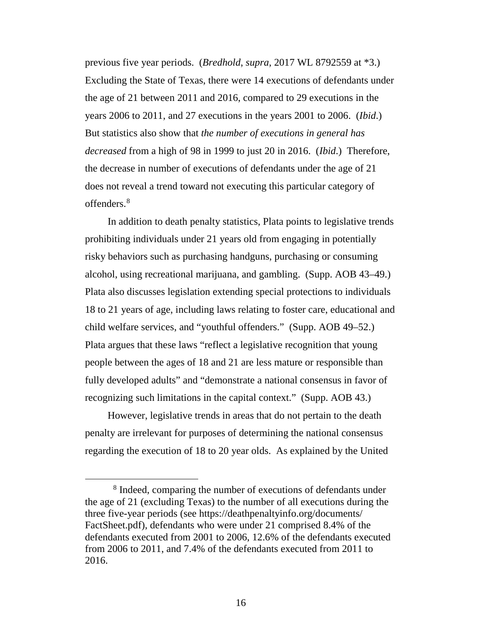previous five year periods. (*Bredhold*, *supra*, 2017 WL 8792559 at \*3.) Excluding the State of Texas, there were 14 executions of defendants under the age of 21 between 2011 and 2016, compared to 29 executions in the years 2006 to 2011, and 27 executions in the years 2001 to 2006. (*Ibid*.) But statistics also show that *the number of executions in general has decreased* from a high of 98 in 1999 to just 20 in 2016. (*Ibid*.) Therefore, the decrease in number of executions of defendants under the age of 21 does not reveal a trend toward not executing this particular category of offenders.[8](#page-15-0)

In addition to death penalty statistics, Plata points to legislative trends prohibiting individuals under 21 years old from engaging in potentially risky behaviors such as purchasing handguns, purchasing or consuming alcohol, using recreational marijuana, and gambling. (Supp. AOB 43–49.) Plata also discusses legislation extending special protections to individuals 18 to 21 years of age, including laws relating to foster care, educational and child welfare services, and "youthful offenders." (Supp. AOB 49–52.) Plata argues that these laws "reflect a legislative recognition that young people between the ages of 18 and 21 are less mature or responsible than fully developed adults" and "demonstrate a national consensus in favor of recognizing such limitations in the capital context." (Supp. AOB 43.)

However, legislative trends in areas that do not pertain to the death penalty are irrelevant for purposes of determining the national consensus regarding the execution of 18 to 20 year olds. As explained by the United

<span id="page-15-0"></span> <sup>8</sup> Indeed, comparing the number of executions of defendants under the age of 21 (excluding Texas) to the number of all executions during the three five-year periods (see https://deathpenaltyinfo.org/documents/ FactSheet.pdf), defendants who were under 21 comprised 8.4% of the defendants executed from 2001 to 2006, 12.6% of the defendants executed from 2006 to 2011, and 7.4% of the defendants executed from 2011 to 2016.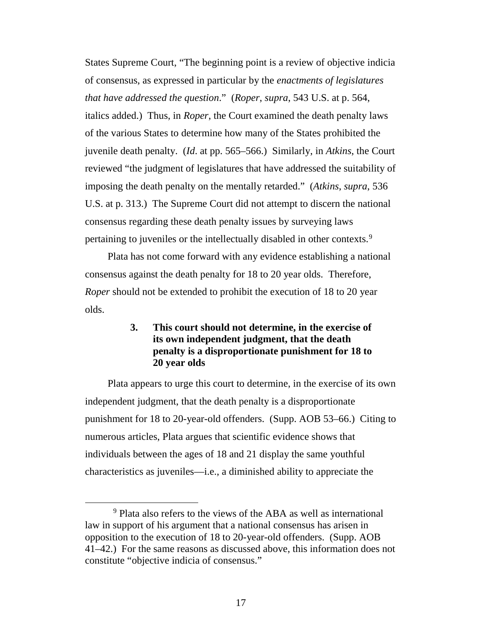States Supreme Court, "The beginning point is a review of objective indicia of consensus, as expressed in particular by the *enactments of legislatures that have addressed the question*." (*Roper*, *supra*, 543 U.S. at p. 564, italics added.) Thus, in *Roper*, the Court examined the death penalty laws of the various States to determine how many of the States prohibited the juvenile death penalty. (*Id*. at pp. 565–566.) Similarly, in *Atkins*, the Court reviewed "the judgment of legislatures that have addressed the suitability of imposing the death penalty on the mentally retarded." (*Atkins*, *supra*, 536 U.S. at p. 313.) The Supreme Court did not attempt to discern the national consensus regarding these death penalty issues by surveying laws pertaining to juveniles or the intellectually disabled in other contexts.<sup>[9](#page-16-0)</sup>

Plata has not come forward with any evidence establishing a national consensus against the death penalty for 18 to 20 year olds. Therefore, *Roper* should not be extended to prohibit the execution of 18 to 20 year olds.

## **3. This court should not determine, in the exercise of its own independent judgment, that the death penalty is a disproportionate punishment for 18 to 20 year olds**

Plata appears to urge this court to determine, in the exercise of its own independent judgment, that the death penalty is a disproportionate punishment for 18 to 20-year-old offenders. (Supp. AOB 53–66.) Citing to numerous articles, Plata argues that scientific evidence shows that individuals between the ages of 18 and 21 display the same youthful characteristics as juveniles—i.e., a diminished ability to appreciate the

<span id="page-16-0"></span> <sup>9</sup> Plata also refers to the views of the ABA as well as international law in support of his argument that a national consensus has arisen in opposition to the execution of 18 to 20-year-old offenders. (Supp. AOB 41–42.) For the same reasons as discussed above, this information does not constitute "objective indicia of consensus."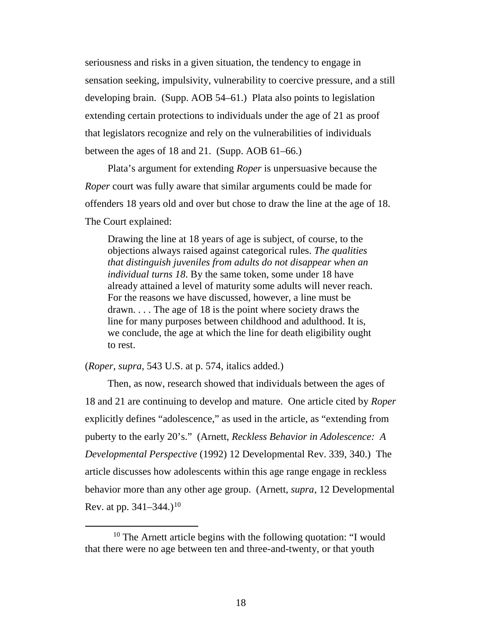seriousness and risks in a given situation, the tendency to engage in sensation seeking, impulsivity, vulnerability to coercive pressure, and a still developing brain. (Supp. AOB 54–61.) Plata also points to legislation extending certain protections to individuals under the age of 21 as proof that legislators recognize and rely on the vulnerabilities of individuals between the ages of 18 and 21. (Supp. AOB 61–66.)

Plata's argument for extending *Roper* is unpersuasive because the *Roper* court was fully aware that similar arguments could be made for offenders 18 years old and over but chose to draw the line at the age of 18. The Court explained:

Drawing the line at 18 years of age is subject, of course, to the objections always raised against categorical rules. *The qualities that distinguish juveniles from adults do not disappear when an individual turns 18*. By the same token, some under 18 have already attained a level of maturity some adults will never reach. For the reasons we have discussed, however, a line must be drawn. . . . The age of 18 is the point where society draws the line for many purposes between childhood and adulthood. It is, we conclude, the age at which the line for death eligibility ought to rest.

(*Roper*, *supra*, 543 U.S. at p. 574, italics added.)

Then, as now, research showed that individuals between the ages of 18 and 21 are continuing to develop and mature. One article cited by *Roper* explicitly defines "adolescence," as used in the article, as "extending from puberty to the early 20's." (Arnett, *Reckless Behavior in Adolescence: A Developmental Perspective* (1992) 12 Developmental Rev. 339, 340.) The article discusses how adolescents within this age range engage in reckless behavior more than any other age group. (Arnett, *supra*, 12 Developmental Rev. at pp.  $341-344$ .)<sup>[10](#page-17-0)</sup>

<span id="page-17-0"></span> $10$  The Arnett article begins with the following quotation: "I would that there were no age between ten and three-and-twenty, or that youth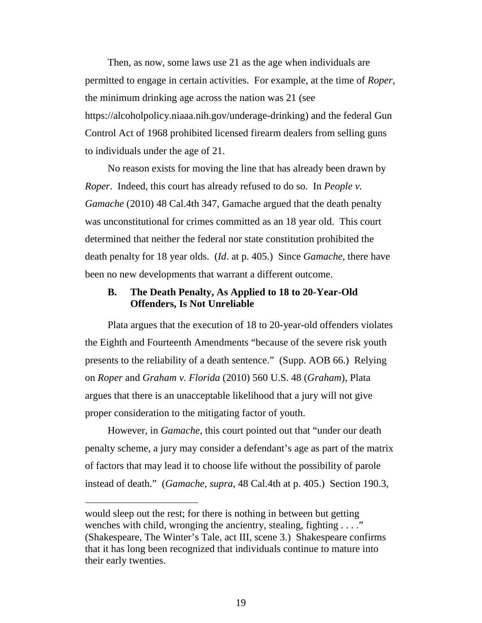Then, as now, some laws use 21 as the age when individuals are permitted to engage in certain activities. For example, at the time of *Roper*, the minimum drinking age across the nation was 21 (see https://alcoholpolicy.niaaa.nih.gov/underage-drinking) and the federal Gun Control Act of 1968 prohibited licensed firearm dealers from selling guns to individuals under the age of 21.

No reason exists for moving the line that has already been drawn by *Roper*. Indeed, this court has already refused to do so. In *People v. Gamache* (2010) 48 Cal.4th 347, Gamache argued that the death penalty was unconstitutional for crimes committed as an 18 year old. This court determined that neither the federal nor state constitution prohibited the death penalty for 18 year olds. (*Id*. at p. 405.) Since *Gamache*, there have been no new developments that warrant a different outcome.

## **B. The Death Penalty, As Applied to 18 to 20-Year-Old Offenders, Is Not Unreliable**

Plata argues that the execution of 18 to 20-year-old offenders violates the Eighth and Fourteenth Amendments "because of the severe risk youth presents to the reliability of a death sentence." (Supp. AOB 66.) Relying on *Roper* and *Graham v. Florida* (2010) 560 U.S. 48 (*Graham*), Plata argues that there is an unacceptable likelihood that a jury will not give proper consideration to the mitigating factor of youth.

However, in *Gamache*, this court pointed out that "under our death penalty scheme, a jury may consider a defendant's age as part of the matrix of factors that may lead it to choose life without the possibility of parole instead of death." (*Gamache*, *supra*, 48 Cal.4th at p. 405.) Section 190.3,

 $\overline{a}$ 

would sleep out the rest; for there is nothing in between but getting wenches with child, wronging the ancientry, stealing, fighting . . . ." (Shakespeare, The Winter's Tale, act III, scene 3.) Shakespeare confirms that it has long been recognized that individuals continue to mature into their early twenties.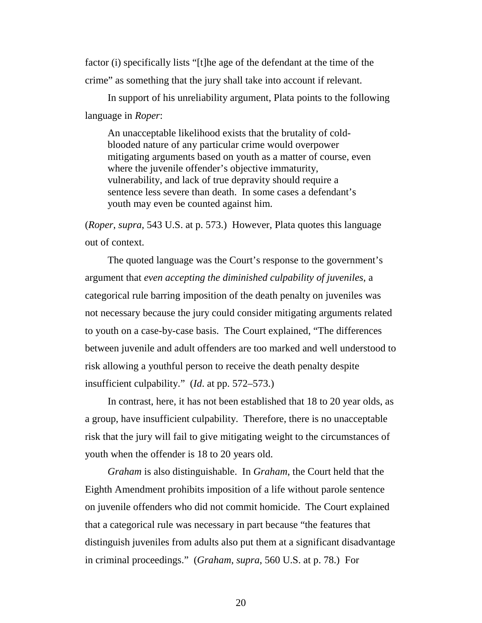factor (i) specifically lists "[t]he age of the defendant at the time of the crime" as something that the jury shall take into account if relevant.

In support of his unreliability argument, Plata points to the following language in *Roper*:

An unacceptable likelihood exists that the brutality of coldblooded nature of any particular crime would overpower mitigating arguments based on youth as a matter of course, even where the juvenile offender's objective immaturity, vulnerability, and lack of true depravity should require a sentence less severe than death. In some cases a defendant's youth may even be counted against him.

(*Roper*, *supra*, 543 U.S. at p. 573.) However, Plata quotes this language out of context.

The quoted language was the Court's response to the government's argument that *even accepting the diminished culpability of juveniles*, a categorical rule barring imposition of the death penalty on juveniles was not necessary because the jury could consider mitigating arguments related to youth on a case-by-case basis. The Court explained, "The differences between juvenile and adult offenders are too marked and well understood to risk allowing a youthful person to receive the death penalty despite insufficient culpability." (*Id*. at pp. 572–573.)

In contrast, here, it has not been established that 18 to 20 year olds, as a group, have insufficient culpability. Therefore, there is no unacceptable risk that the jury will fail to give mitigating weight to the circumstances of youth when the offender is 18 to 20 years old.

*Graham* is also distinguishable. In *Graham*, the Court held that the Eighth Amendment prohibits imposition of a life without parole sentence on juvenile offenders who did not commit homicide. The Court explained that a categorical rule was necessary in part because "the features that distinguish juveniles from adults also put them at a significant disadvantage in criminal proceedings." (*Graham*, *supra*, 560 U.S. at p. 78.) For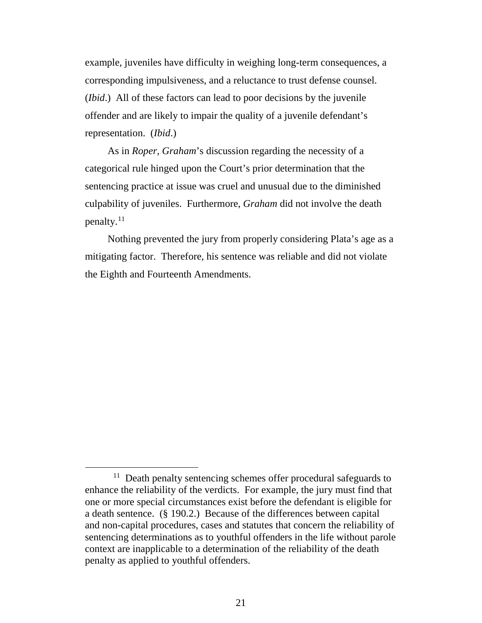example, juveniles have difficulty in weighing long-term consequences, a corresponding impulsiveness, and a reluctance to trust defense counsel. (*Ibid*.) All of these factors can lead to poor decisions by the juvenile offender and are likely to impair the quality of a juvenile defendant's representation. (*Ibid*.)

As in *Roper*, *Graham*'s discussion regarding the necessity of a categorical rule hinged upon the Court's prior determination that the sentencing practice at issue was cruel and unusual due to the diminished culpability of juveniles. Furthermore, *Graham* did not involve the death penalty.[11](#page-20-0) 

Nothing prevented the jury from properly considering Plata's age as a mitigating factor. Therefore, his sentence was reliable and did not violate the Eighth and Fourteenth Amendments.

<span id="page-20-0"></span><sup>&</sup>lt;sup>11</sup> Death penalty sentencing schemes offer procedural safeguards to enhance the reliability of the verdicts. For example, the jury must find that one or more special circumstances exist before the defendant is eligible for a death sentence. (§ 190.2.) Because of the differences between capital and non-capital procedures, cases and statutes that concern the reliability of sentencing determinations as to youthful offenders in the life without parole context are inapplicable to a determination of the reliability of the death penalty as applied to youthful offenders.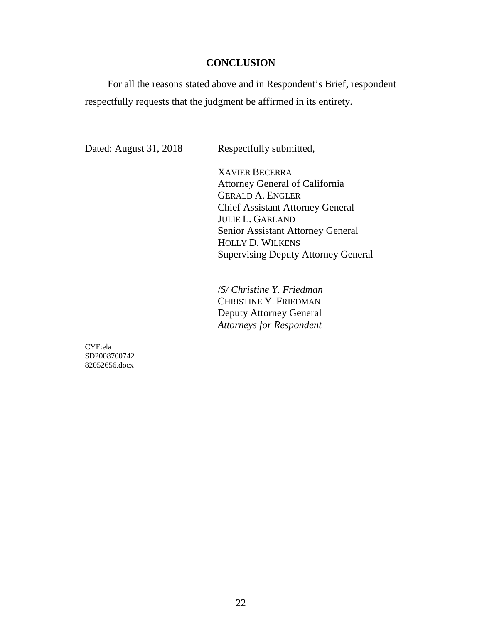## **CONCLUSION**

For all the reasons stated above and in Respondent's Brief, respondent respectfully requests that the judgment be affirmed in its entirety.

Dated: August 31, 2018 Respectfully submitted,

XAVIER BECERRA Attorney General of California GERALD A. ENGLER Chief Assistant Attorney General JULIE L. GARLAND Senior Assistant Attorney General HOLLY D. WILKENS Supervising Deputy Attorney General

/*S/ Christine Y. Friedman* CHRISTINE Y. FRIEDMAN Deputy Attorney General *Attorneys for Respondent* 

CYF:ela SD2008700742 82052656.docx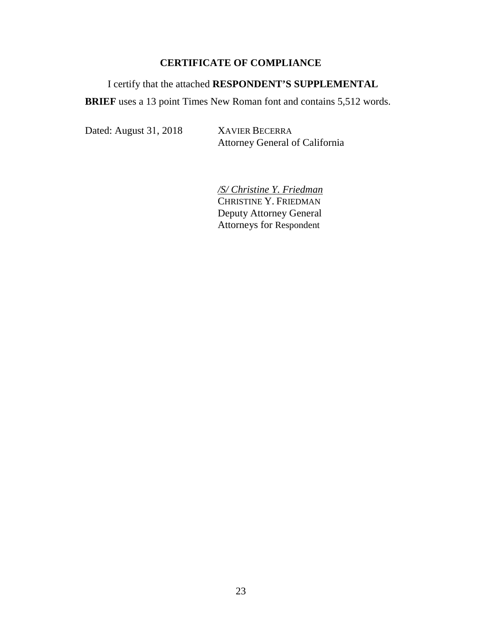## **CERTIFICATE OF COMPLIANCE**

# I certify that the attached **RESPONDENT'S SUPPLEMENTAL**

**BRIEF** uses a 13 point Times New Roman font and contains 5,512 words.

Dated: August 31, 2018 XAVIER BECERRA

Attorney General of California

*/S/ Christine Y. Friedman*  CHRISTINE Y. FRIEDMAN Deputy Attorney General Attorneys for Respondent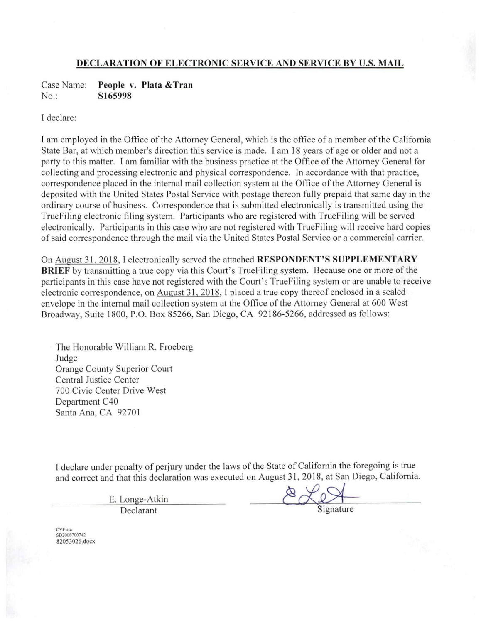#### DECLARATION OF ELECTRONIC SERVICE AND SERVICE BY U.S. MAIL

People v. Plata & Tran Case Name:  $No.$ : S165998

I declare:

I am employed in the Office of the Attorney General, which is the office of a member of the California State Bar, at which member's direction this service is made. I am 18 years of age or older and not a party to this matter. I am familiar with the business practice at the Office of the Attorney General for collecting and processing electronic and physical correspondence. In accordance with that practice, correspondence placed in the internal mail collection system at the Office of the Attorney General is deposited with the United States Postal Service with postage thereon fully prepaid that same day in the ordinary course of business. Correspondence that is submitted electronically is transmitted using the True Filing electronic filing system. Participants who are registered with True Filing will be served electronically. Participants in this case who are not registered with TrueFiling will receive hard copies of said correspondence through the mail via the United States Postal Service or a commercial carrier.

On August 31, 2018, I electronically served the attached **RESPONDENT'S SUPPLEMENTARY BRIEF** by transmitting a true copy via this Court's True Filing system. Because one or more of the participants in this case have not registered with the Court's True Filing system or are unable to receive electronic correspondence, on August 31, 2018, I placed a true copy thereof enclosed in a sealed envelope in the internal mail collection system at the Office of the Attorney General at 600 West Broadway, Suite 1800, P.O. Box 85266, San Diego, CA 92186-5266, addressed as follows:

The Honorable William R. Froeberg Judge Orange County Superior Court Central Justice Center 700 Civic Center Drive West Department C40 Santa Ana, CA 92701

I declare under penalty of perjury under the laws of the State of California the foregoing is true and correct and that this declaration was executed on August 31, 2018, at San Diego, California.

> E. Longe-Atkin Declarant

CYF:ela<br>SD2008700742 82053026.docx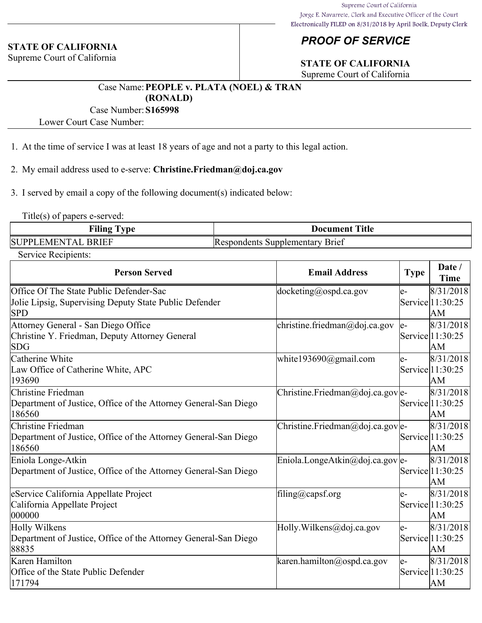### **STATE OF CALIFORNIA**

Supreme Court of California

# *PROOF OF SERVICE*

# **STATE OF CALIFORNIA**

Supreme Court of California

## Case Name:**PEOPLE v. PLATA (NOEL) & TRAN (RONALD)**

## Case Number:**S165998**

Lower Court Case Number:

- 1. At the time of service I was at least 18 years of age and not a party to this legal action.
- 2. My email address used to e-serve: **Christine.Friedman@doj.ca.gov**
- 3. I served by email a copy of the following document(s) indicated below:

Title(s) of papers e-served:

| <b>Filing</b>                               | <b>Title</b>                                         |
|---------------------------------------------|------------------------------------------------------|
| <b>vne</b>                                  | Document                                             |
| SUPPL<br><b>BRIEF</b><br><b>FMEN</b><br>ΊΔΙ | <b>Brief</b><br>Supplementary<br><b>IRespondents</b> |

Service Recipients:

| <b>Person Served</b>                                            | <b>Email Address</b>                | <b>Type</b> | Date /<br><b>Time</b>    |
|-----------------------------------------------------------------|-------------------------------------|-------------|--------------------------|
| Office Of The State Public Defender-Sac                         | $ docketing(\omega)$ ospd.ca.gov    | le-         | 8/31/2018                |
| Jolie Lipsig, Supervising Deputy State Public Defender          |                                     |             | Service 11:30:25         |
| SPD                                                             |                                     |             | AM                       |
| Attorney General - San Diego Office                             | christine.friedman@doj.ca.gov       | le-         | 8/31/2018                |
| Christine Y. Friedman, Deputy Attorney General                  |                                     |             | Service 11:30:25         |
| <b>SDG</b>                                                      |                                     |             | AM                       |
| Catherine White                                                 | white193690@gmail.com               | $e-$        | 8/31/2018                |
| Law Office of Catherine White, APC                              |                                     |             | Service 11:30:25         |
| 193690                                                          |                                     |             | AM                       |
| Christine Friedman                                              | Christine.Friedman@doj.ca.gov e-    |             | 8/31/2018                |
| Department of Justice, Office of the Attorney General-San Diego |                                     |             | $\text{Service}$ 1:30:25 |
| 186560                                                          |                                     |             | AM                       |
| Christine Friedman                                              | $[Christine.Friedman@doj.ca.gov]e-$ |             | 8/31/2018                |
| Department of Justice, Office of the Attorney General-San Diego |                                     |             | $\text{Service}$ 1:30:25 |
| 186560                                                          |                                     |             | AM                       |
| Eniola Longe-Atkin                                              | Eniola.LongeAtkin@doj.ca.gov e-     |             | 8/31/2018                |
| Department of Justice, Office of the Attorney General-San Diego |                                     |             | Service 11:30:25         |
|                                                                 |                                     |             | AM                       |
| eService California Appellate Project                           | filing@capsf.org                    | le-         | 8/31/2018                |
| California Appellate Project                                    |                                     |             | Service 11:30:25         |
| 000000                                                          |                                     |             | AM                       |
| Holly Wilkens                                                   | Holly. Wilkens@doj.ca.gov           | e-          | 8/31/2018                |
| Department of Justice, Office of the Attorney General-San Diego |                                     |             | Service 11:30:25         |
| 88835                                                           |                                     |             | AM                       |
| Karen Hamilton                                                  | karen.hamilton@ospd.ca.gov          | le-         | 8/31/2018                |
| Office of the State Public Defender                             |                                     |             | Service   1:30:25        |
| 171794                                                          |                                     |             | AM                       |